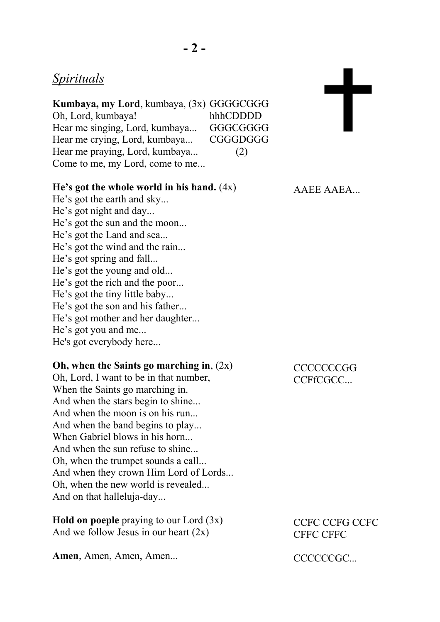## *Spirituals*

| Kumbaya, my Lord, kumbaya, (3x) GGGGCGGG |          |
|------------------------------------------|----------|
| Oh, Lord, kumbaya!                       | hhhCDDDD |
| Hear me singing, Lord, kumbaya           | GGGCGGGG |
| Hear me crying, Lord, kumbaya            | CGGGDGGG |
| Hear me praying, Lord, kumbaya           | (2)      |
| Come to me, my Lord, come to me          |          |

### **He's got the whole world in his hand.** (4x)

He's got the earth and sky... He's got night and day... He's got the sun and the moon... He's got the Land and sea... He's got the wind and the rain... He's got spring and fall... He's got the young and old... He's got the rich and the poor... He's got the tiny little baby... He's got the son and his father... He's got mother and her daughter... He's got you and me... He's got everybody here...

### **Oh, when the Saints go marching in**, (2x)

Oh, Lord, I want to be in that number, When the Saints go marching in. And when the stars begin to shine... And when the moon is on his run... And when the band begins to play... When Gabriel blows in his horn... And when the sun refuse to shine... Oh, when the trumpet sounds a call... And when they crown Him Lord of Lords... Oh, when the new world is revealed... And on that halleluja-day...

**Hold on poeple** praying to our Lord (3x) And we follow Jesus in our heart  $(2x)$ 

**Amen**, Amen, Amen, Amen...

AAEE AAEA...

 $\mathbf t$ 

## **CCCCCCCGG** CCFfCGCC...

CCFC CCFG CCFC CFFC CFFC

CCCCCCGC.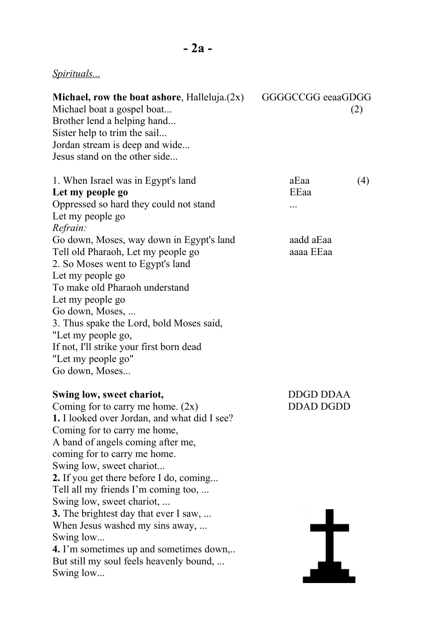# *Spirituals...*

| Michael, row the boat ashore, Halleluja. $(2x)$<br>Michael boat a gospel boat<br>Brother lend a helping hand<br>Sister help to trim the sail<br>Jordan stream is deep and wide<br>Jesus stand on the other side                                                                                                                                                                                                                                                                                                                                                                   | GGGGCCGG eeaaGDGG<br>(2)             |
|-----------------------------------------------------------------------------------------------------------------------------------------------------------------------------------------------------------------------------------------------------------------------------------------------------------------------------------------------------------------------------------------------------------------------------------------------------------------------------------------------------------------------------------------------------------------------------------|--------------------------------------|
| 1. When Israel was in Egypt's land<br>Let my people go<br>Oppressed so hard they could not stand<br>Let my people go<br>Refrain:                                                                                                                                                                                                                                                                                                                                                                                                                                                  | aEaa<br>(4)<br>EEaa<br>.             |
| Go down, Moses, way down in Egypt's land<br>Tell old Pharaoh, Let my people go<br>2. So Moses went to Egypt's land<br>Let my people go<br>To make old Pharaoh understand<br>Let my people go<br>Go down, Moses,<br>3. Thus spake the Lord, bold Moses said,<br>"Let my people go,<br>If not, I'll strike your first born dead<br>"Let my people go"<br>Go down, Moses                                                                                                                                                                                                             | aadd aEaa<br>aaaa EEaa               |
| Swing low, sweet chariot,<br>Coming for to carry me home. $(2x)$<br><b>1.</b> I looked over Jordan, and what did I see?<br>Coming for to carry me home,<br>A band of angels coming after me,<br>coming for to carry me home.<br>Swing low, sweet chariot<br><b>2.</b> If you get there before I do, coming<br>Tell all my friends I'm coming too,<br>Swing low, sweet chariot,<br><b>3.</b> The brightest day that ever I saw,<br>When Jesus washed my sins away,<br>Swing low<br>4. I'm sometimes up and sometimes down,<br>But still my soul feels heavenly bound,<br>Swing low | <b>DDGD DDAA</b><br><b>DDAD DGDD</b> |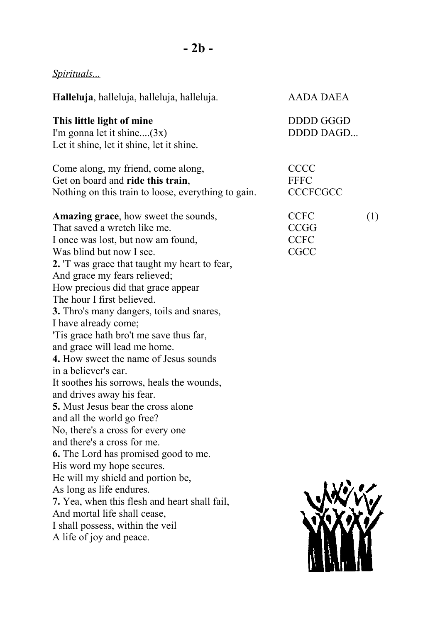# *Spirituals...*

| Halleluja, halleluja, halleluja, halleluja.                                                                                                                                                                                                                                                                                                                                                                                                                                                                                                                                                                                                                                                                                                                                                                                                                                                                                                                                                                                | AADA DAEA                                                |     |
|----------------------------------------------------------------------------------------------------------------------------------------------------------------------------------------------------------------------------------------------------------------------------------------------------------------------------------------------------------------------------------------------------------------------------------------------------------------------------------------------------------------------------------------------------------------------------------------------------------------------------------------------------------------------------------------------------------------------------------------------------------------------------------------------------------------------------------------------------------------------------------------------------------------------------------------------------------------------------------------------------------------------------|----------------------------------------------------------|-----|
| This little light of mine<br>I'm gonna let it shine $(3x)$<br>Let it shine, let it shine, let it shine.                                                                                                                                                                                                                                                                                                                                                                                                                                                                                                                                                                                                                                                                                                                                                                                                                                                                                                                    | DDDD GGGD<br>DDDD DAGD                                   |     |
| Come along, my friend, come along,<br>Get on board and ride this train,<br>Nothing on this train to loose, everything to gain.                                                                                                                                                                                                                                                                                                                                                                                                                                                                                                                                                                                                                                                                                                                                                                                                                                                                                             | <b>CCCC</b><br><b>FFFC</b><br><b>CCCFCGCC</b>            |     |
| <b>Amazing grace, how sweet the sounds,</b><br>That saved a wretch like me.<br>I once was lost, but now am found,<br>Was blind but now I see.<br>2. T was grace that taught my heart to fear,<br>And grace my fears relieved;<br>How precious did that grace appear<br>The hour I first believed.<br><b>3.</b> Thro's many dangers, toils and snares,<br>I have already come;<br>Tis grace hath bro't me save thus far,<br>and grace will lead me home.<br><b>4.</b> How sweet the name of Jesus sounds<br>in a believer's ear.<br>It soothes his sorrows, heals the wounds,<br>and drives away his fear.<br><b>5.</b> Must Jesus bear the cross alone<br>and all the world go free?<br>No, there's a cross for every one<br>and there's a cross for me.<br><b>6.</b> The Lord has promised good to me.<br>His word my hope secures.<br>He will my shield and portion be,<br>As long as life endures.<br>7. Yea, when this flesh and heart shall fail,<br>And mortal life shall cease,<br>I shall possess, within the veil | <b>CCFC</b><br><b>CCGG</b><br><b>CCFC</b><br><b>CGCC</b> | (1) |
| A life of joy and peace.                                                                                                                                                                                                                                                                                                                                                                                                                                                                                                                                                                                                                                                                                                                                                                                                                                                                                                                                                                                                   |                                                          |     |